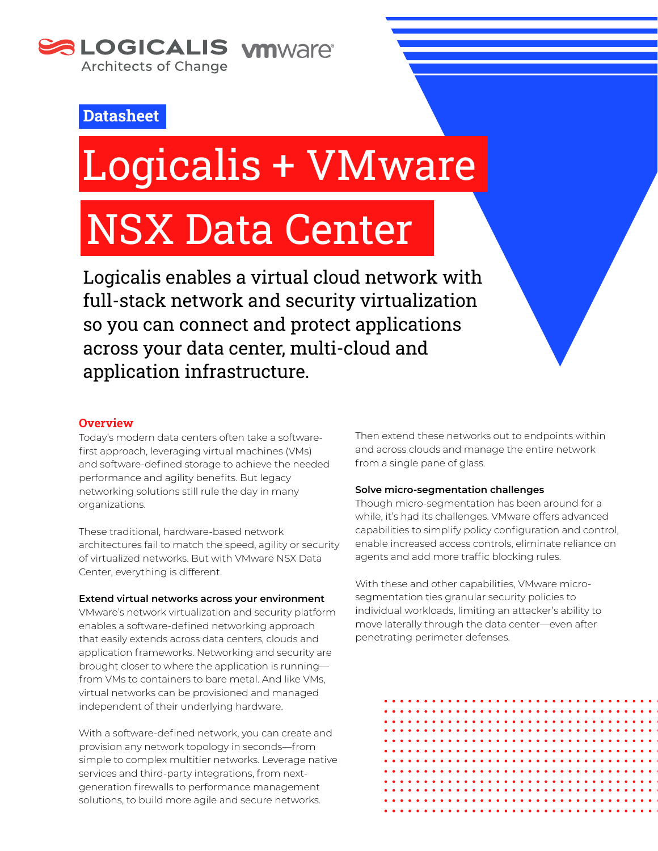

# **Datasheet**

# Logicalis + VMware

# NSX Data Center

Logicalis enables a virtual cloud network with full-stack network and security virtualization so you can connect and protect applications across your data center, multi-cloud and application infrastructure.

# **Overview**

Today's modern data centers often take a softwarefirst approach, leveraging virtual machines (VMs) and software-defined storage to achieve the needed performance and agility benefits. But legacy networking solutions still rule the day in many organizations.

These traditional, hardware-based network architectures fail to match the speed, agility or security of virtualized networks. But with VMware NSX Data Center, everything is different.

#### **Extend virtual networks across your environment**

VMware's network virtualization and security platform enables a software-defined networking approach that easily extends across data centers, clouds and application frameworks. Networking and security are brought closer to where the application is running from VMs to containers to bare metal. And like VMs, virtual networks can be provisioned and managed independent of their underlying hardware.

With a software-defined network, you can create and provision any network topology in seconds—from simple to complex multitier networks. Leverage native services and third-party integrations, from nextgeneration firewalls to performance management solutions, to build more agile and secure networks.

Then extend these networks out to endpoints within and across clouds and manage the entire network from a single pane of glass.

#### **Solve micro-segmentation challenges**

Though micro-segmentation has been around for a while, it's had its challenges. VMware offers advanced capabilities to simplify policy configuration and control, enable increased access controls, eliminate reliance on agents and add more traffic blocking rules.

With these and other capabilities, VMware microsegmentation ties granular security policies to individual workloads, limiting an attacker's ability to move laterally through the data center—even after penetrating perimeter defenses.